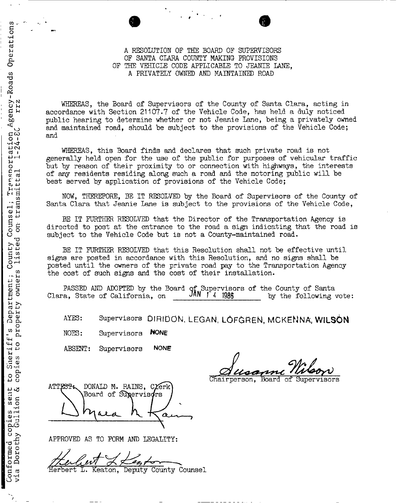### OF SANTA CLARA COUNTY MAKING- PROVISIONS 2 A RESOLUTION OP THE BOARD OF SUPERVISORS OF THE VEHICLE CODE APPLICABLE TO JEANIE LANE, A PRIVATELY OWNED AND MAINTAINED ROAD

WHEREAS, the Board of Supervisors of the County of Santa Clara, acting in accordance with Section 21107.7 of the Vehicle Code, has held a duly noticed public hearing to determine whether or not Jeanie Lane, being a privately owned and maintained road, should be subject to the provisions of the Vehicle Code; and

WHEREAS, this Board finds and declares that such private road is not generally held open for the use of the public for purposes of vehicular traffic but by reason of their proximity to or connection with highways, the interests of any residents residing along such a road and the motoring public will be best served by application of provisions of the Vehicle Code;

 § NOW, THEREFORE, BE IT RESOLVED by the Board of Supervisors of the County of Santa Clara that Jeanie Lane is subject to the provisions of the Vehicle Code,

BE IT FURTHER RESOLVED that the Director of the Transportation Agency is directed to post at the entrance to the road a sign indicating that the road is  $\mathcal{C}_{\mathbf{m}}$  subject to the Vehicle Code but is not a County-maintained road.

> BE IT FURTHER RESOLVED that this Resolution shall not be effective until signs are posted in accordance with this Resolution, and no signs shall be posted until the owners of the private road pay to the Transportation Agency the cost of such signs and the cost of their installation.

g § PASSED AND ADOPTED by the Board of Supervisors of the County of Santa  $\sim$  Clara, State of California, on  $\sim$  JAN  $\uparrow$  4 1986 by the following vote:

AYES: Supervisors DIRIDON, LEGAN, LOFGREN, MCKENNA, WILSON

NOES: Supervisors WONE

ABSENT: Supervisors NONE

Chairperson, Board of

ATTEST: DONALD M. RAINS, CLETK Board of Supervisors Ω

APPROVED AS TO FORM AND LEGALITY:

e Ferbert L. Keaton, Deputy County Counsel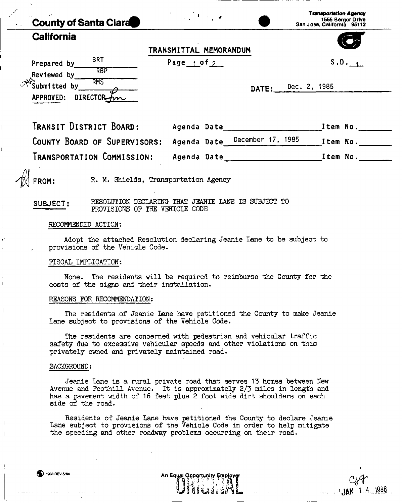| <b>County of Santa Clara</b>                                                              | $\mathcal{F} = \{x_1, x_2, \ldots, x_n\}$                                             | <b>Transportation Agency</b><br>1555 Berger Drive<br>San Jose, California 95112 |
|-------------------------------------------------------------------------------------------|---------------------------------------------------------------------------------------|---------------------------------------------------------------------------------|
| <b>California</b>                                                                         | TRANSMITTAL MEMORANDUM                                                                |                                                                                 |
| Prepared by $\frac{BRT}{RBP}$<br>Reviewed by RMS<br>Submitted by<br>DIRECTOR<br>APPROVED: | Page $1$ of $2$                                                                       | S.D.<br>DATE: Dec. 2, 1985                                                      |
| TRANSIT DISTRICT BOARD:                                                                   |                                                                                       | COUNTY BOARD OF SUPERVISORS: Agenda Date December 17, 1985 Item No.             |
| TRANSPORTATION COMMISSION:<br>FROM:                                                       | R. M. Shields, Transportation Agency                                                  |                                                                                 |
| SUBJECT:                                                                                  | RESOLUTION DECLARING THAT JEANIE LANE IS SUBJECT TO<br>PROVISIONS OF THE VEHICLE CODE |                                                                                 |
| RECOMMENDED ACTION:                                                                       |                                                                                       |                                                                                 |
| provisions of the Vehicle Code.                                                           |                                                                                       | Adopt the attached Resolution declaring Jeanie Lane to be subject to            |
| FISCAL IMPLICATION:                                                                       |                                                                                       |                                                                                 |

None. The residents will be required to reimburse the County for the costs of the signs and their installation.

#### REASONS FOR RECOMMENDATION:

The residents of Jeanie Lane have petitioned the County to make Jeanie Lane subject to provisions of the Vehicle Code.

The residents are concerned with pedestrian and vehicular traffic safety due to excessive vehicular speeds and other violations on this privately owned and privately maintained road.

#### BACKGROUND:

Jeanie Lane is a rural private road that serves 13 homes between New Avenue and Foothill Avenue. It is approximately 2/3 miles in length and has a pavement width of 16 feet plus 2 foot wide dirt shoulders on each side of the road.

Residents of Jeanie Lane have petitioned the County to declare Jeanie Lane subject to provisions of the Vehicle Code in order to help mitigate the speeding and other roadway problems occurring on their road.

An Equal Qpportunity Employ

 $JAN$ . 1.4. 1986

| 1908 REV 5/84 |  |
|---------------|--|
|---------------|--|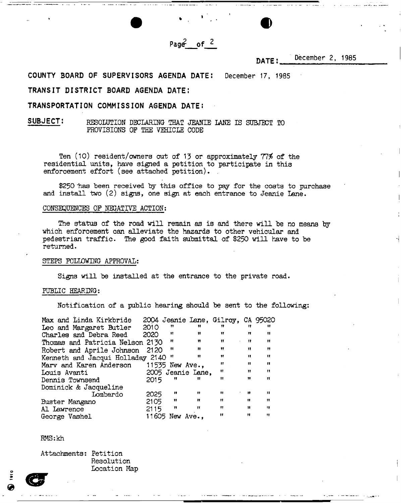**Pag<£ of 2** 

**• «** 

# **DATE:** December 2, 1985

**COUNTY BOARD OF SUPERVISORS AGENDA DATE:** December 17, 1985

# **TRANSIT DISTRICT BOARD AGENDA DATE:**

### **TRANSPORTATION COMMISSION AGENDA DATE:**

# **SUBJECT:** RESOLUTION DECLARING- THAT JEANIE LANE IS SUBJECT TO PROVISIONS OF THE VEHICLE CODE

Ten (10) resident/owners out of 13 or approximately 77% of the residential units, have signed a petition to participate in this enforcement effort (see attached petition).

\$250 has been received by this office to pay for the costs to purchase and install two (2) signs, one sign at each entrance to Jeanie Lane.

### CONSEQUENCES OF NEGATIVE ACTION:

The status of the road will remain as is and there will he no means by which enforcement can alleviate the hazards to other vehicular and pedestrian traffic. The good faith submittal of \$250 will have to be returned.

#### STEPS FOLLOWING APPROVAL:

Signs will be installed at the entrance to the private road.

#### PUBLIC HEARING:

Notification of a public hearing should be sent to the following:

| Max and Linda Kirkbride          |      |                 |                   | 2004 Jeanie Lane, Gilroy, CA 95020 |                   |              |
|----------------------------------|------|-----------------|-------------------|------------------------------------|-------------------|--------------|
| Leo and Margaret Butler          | 2010 | 11              | Ħ                 | 11.                                | 11                | Ħ            |
| Charles and Debra Reed           | 2020 | 11              | 11                | Ħ                                  | 11                | Ħ            |
| Thomas and Patricia Nelson 2130  |      | Ħ               | $^{\bullet}$      | Ħ<br>$\bullet$                     | Ħ                 | $\mathbf{H}$ |
| Robert and Aprile Johnson        | 2120 | 11              | $\mathbf{H}$      | Ħ                                  | Ħ                 | $^{\bullet}$ |
| Kenneth and Jacqui Holladay 2140 |      |                 | $^{\bullet}$      | -98                                | $\mathbf{H}$      | $\mathbf{H}$ |
| Mary and Karen Anderson          |      | 11535 New Ave., |                   | $^{\prime\prime}$                  | $\bullet$         | $^{\bullet}$ |
| Louis Avanti                     |      |                 | 2005 Jeanie Lane, | 11                                 | Ħ                 | $^{\dagger}$ |
| Dennis Townsend                  | 2015 | -11             | n                 | 11                                 | 11                | n            |
| Dominick & Jacqueline            |      |                 |                   |                                    |                   |              |
| Lombardo                         | 2025 | Ħ               | $\mathbf{H}$      | $\mathbf{H}$                       | <b>Security</b>   | $^{\prime}$  |
| Buster Mangano                   | 2105 | 11              | Ħ                 | $^{\bullet}$                       | $^{\bullet}$      | $^{\bullet}$ |
| Al Lawrence                      | 2115 | 11              | 11                | $^{\bullet\bullet}$                | Ħ                 | Ħ            |
| George Vashel                    |      | 11605 New Ave., |                   | $^{\bullet}$                       | $^{\prime\prime}$ |              |

#### RMS:kh

Attachments: Petition Resolution Location Map

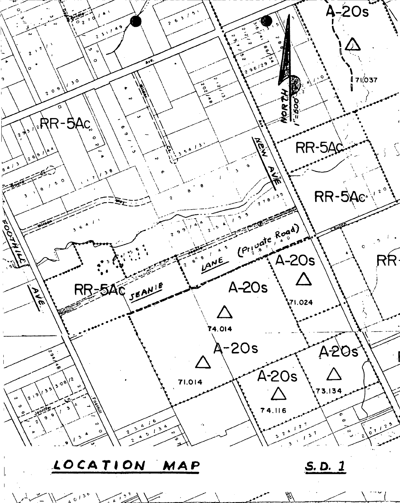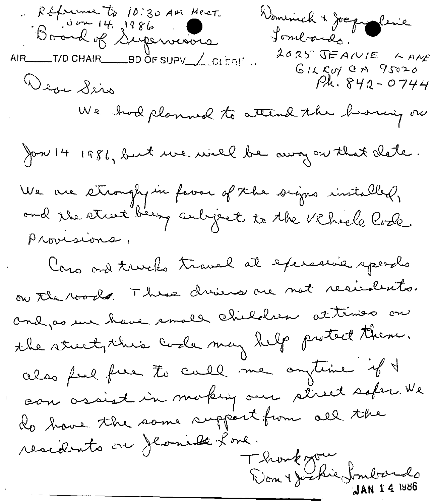Reference to 10:30 AM Meet.<br>Board of Supervisions Dominich & Joseph Cenie Sombando. 2025 JEAIVIE KANE AIR\_\_\_\_T/D CHAIR\_\_\_\_\_BD OF SUPV\_\_\_\_CLEFI!' ..  $G12Rov$  an  $95020$ Wear Sero  $P_{\mathcal{X}}$ . 842 - 0744 We had planned to attend the hoving on Jon 14 1986, but we will be away on that clate. We are stronghy in forour of the signs installed,<br>and the street being subject to the Vichiele Code Provisions, Yoro and truelo travel at excremie speech on the roods. These dries are not residents. and as use have small children attimes on the street, this code may help protect them. also feel free to call me ontime if t can assist in making our street sofer. We do have the same support from all the residents on Jlaniel Lone. Thomas Josephie Sombardo IJAN 1 4 1986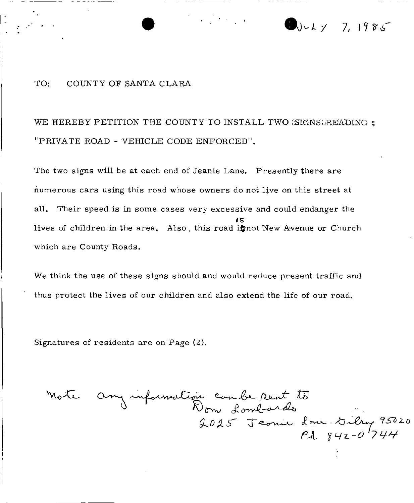

# TO: COUNTY OF SANTA CLARA

WE HEREBY PETITION THE COUNTY TO INSTALL TWO *'SIGNS' READING* ; "PRIVATE ROAD - VEHICLE CODE ENFORCED" .

The two signs will be at each end of Jeanie Lane. Presently there are numerous cars using this road whose owners do not live on this street at all. Their speed is in some cases very excessive and could endanger the lives of children in the area. Also , this road i\$not New Avenue or Church *is* which are County Roads.

We think the use of these signs should and would reduce present traffic and thus protect the lives of our children and also extend the life of our road.

Signatures of residents are on Page (2).

Mote any information combe Rent to<br>Dom Lombards<br>2025 Jeonie Lone Dilry 95020